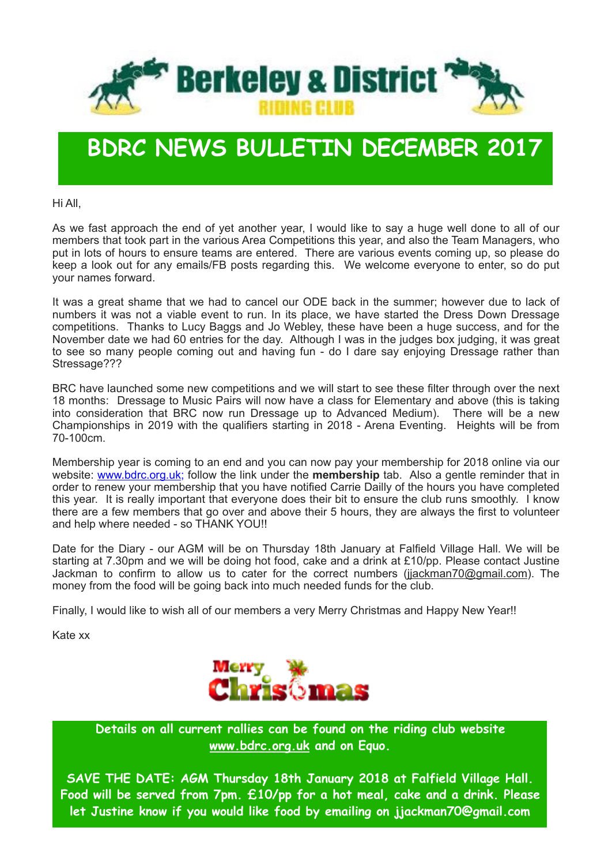

### **BDRC NEWS BULLETIN DECEMBER 2017**

Hi All,

As we fast approach the end of yet another year, I would like to say a huge well done to all of our members that took part in the various Area Competitions this year, and also the Team Managers, who put in lots of hours to ensure teams are entered. There are various events coming up, so please do keep a look out for any emails/FB posts regarding this. We welcome everyone to enter, so do put your names forward.

It was a great shame that we had to cancel our ODE back in the summer; however due to lack of numbers it was not a viable event to run. In its place, we have started the Dress Down Dressage competitions. Thanks to Lucy Baggs and Jo Webley, these have been a huge success, and for the November date we had 60 entries for the day. Although I was in the judges box judging, it was great to see so many people coming out and having fun - do I dare say enjoying Dressage rather than Stressage???

BRC have launched some new competitions and we will start to see these filter through over the next 18 months: Dressage to Music Pairs will now have a class for Elementary and above (this is taking into consideration that BRC now run Dressage up to Advanced Medium). There will be a new Championships in 2019 with the qualifiers starting in 2018 - Arena Eventing. Heights will be from 70-100cm.

Membership year is coming to an end and you can now pay your membership for 2018 online via our website: [www.bdrc.org.uk](http://www.bdrc.org.uk/); follow the link under the **membership** tab. Also a gentle reminder that in order to renew your membership that you have notified Carrie Dailly of the hours you have completed this year. It is really important that everyone does their bit to ensure the club runs smoothly. I know there are a few members that go over and above their 5 hours, they are always the first to volunteer and help where needed - so THANK YOU!!

Date for the Diary - our AGM will be on Thursday 18th January at Falfield Village Hall. We will be starting at 7.30pm and we will be doing hot food, cake and a drink at £10/pp. Please contact Justine Jackman to confirm to allow us to cater for the correct numbers ([jjackman70@gmail.com\)](mailto:jjackman70@gmail.com). The money from the food will be going back into much needed funds for the club.

Finally, I would like to wish all of our members a very Merry Christmas and Happy New Year!!

Kate xx



**Details on all current rallies can be found on the riding club website [www.bdrc.org.uk](http://www.bdrc.org.uk/) and on Equo.**

**SAVE THE DATE: AGM Thursday 18th January 2018 at Falfield Village Hall. Food will be served from 7pm. £10/pp for a hot meal, cake and a drink. Please let Justine know if you would like food by emailing on jjackman70@gmail.com**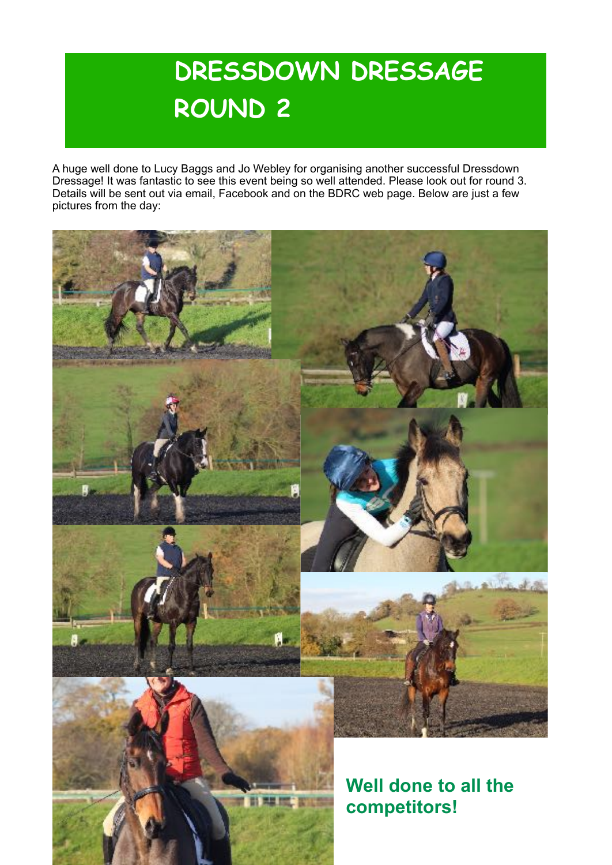# **DRESSDOWN DRESSAGE ROUND 2**

A huge well done to Lucy Baggs and Jo Webley for organising another successful Dressdown Dressage! It was fantastic to see this event being so well attended. Please look out for round 3. Details will be sent out via email, Facebook and on the BDRC web page. Below are just a few pictures from the day:

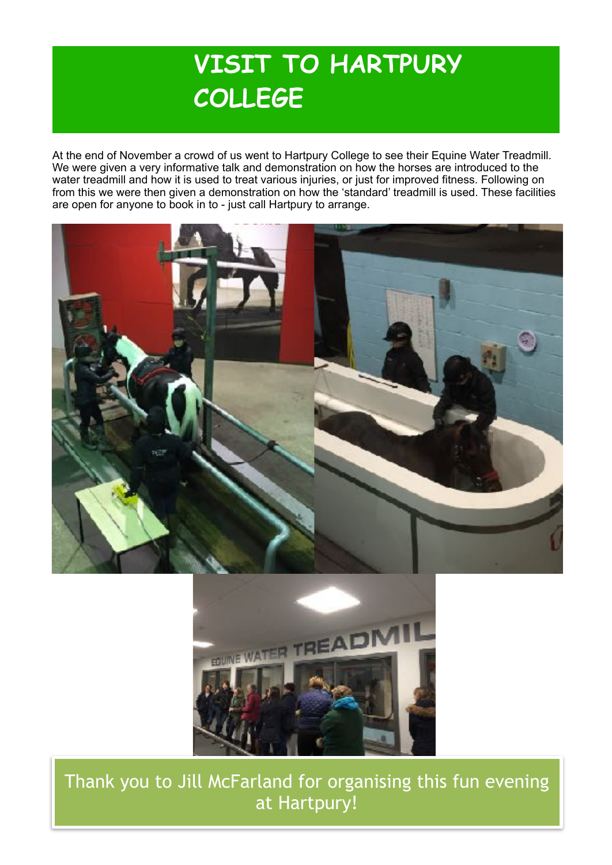### **VISIT TO HARTPURY COLLEGE**

At the end of November a crowd of us went to Hartpury College to see their Equine Water Treadmill. We were given a very informative talk and demonstration on how the horses are introduced to the water treadmill and how it is used to treat various injuries, or just for improved fitness. Following on from this we were then given a demonstration on how the 'standard' treadmill is used. These facilities are open for anyone to book in to - just call Hartpury to arrange.





Thank you to Jill McFarland for organising this fun evening at Hartpury!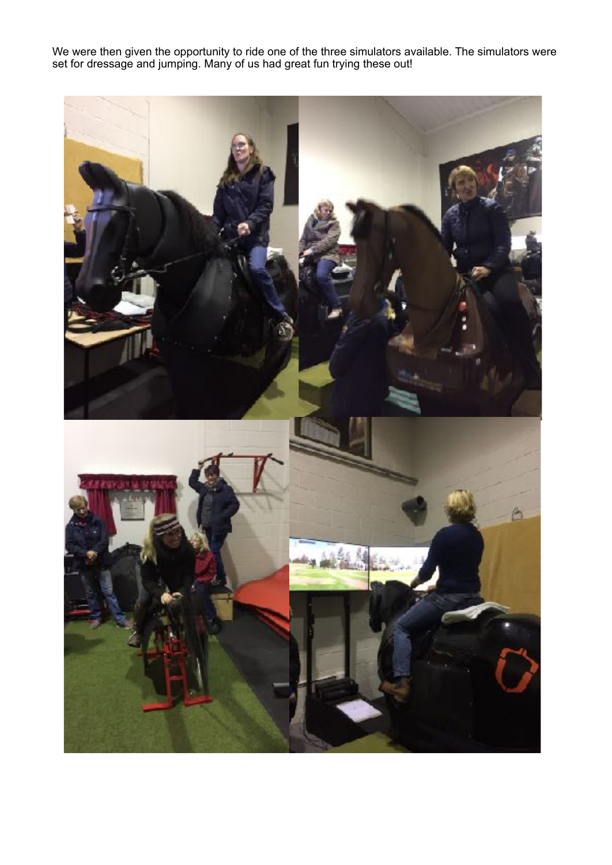We were then given the opportunity to ride one of the three simulators available. The simulators were set for dressage and jumping. Many of us had great fun trying these out!